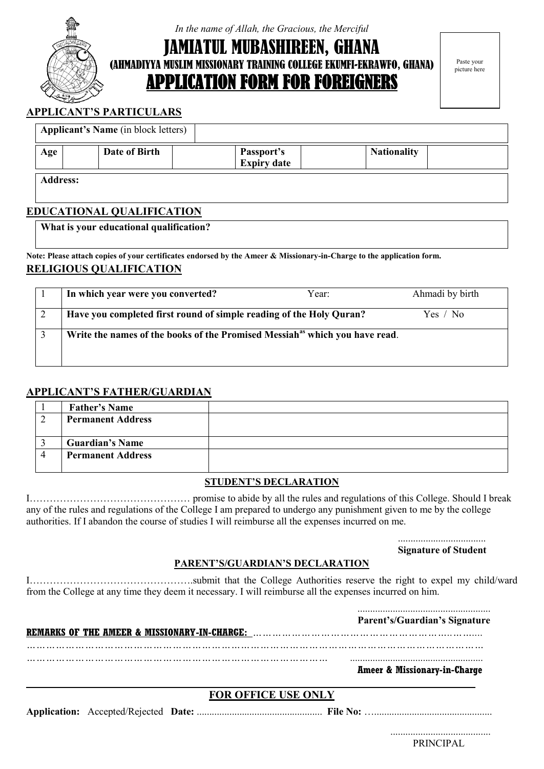

*In the name of Allah, the Gracious, the Merciful*

TUL MUBASHIREEN, GHANA (AHMADIYYA MUSLIM MISSIONARY TRAINING COLLEGE EKUMFI-EKRAWFO, GHANA) APPLICATION FORM FOR FOREIGNERS

Paste your picture here

#### **APPLICANT'S PARTICULARS**

| <b>Applicant's Name</b> (in block letters) |                 |  |                                  |                    |  |
|--------------------------------------------|-----------------|--|----------------------------------|--------------------|--|
| Age                                        | Date of Birth   |  | Passport's<br><b>Expiry date</b> | <b>Nationality</b> |  |
|                                            | <b>Address:</b> |  |                                  |                    |  |

#### **EDUCATIONAL QUALIFICATION**

**What is your educational qualification?**

**Note: Please attach copies of your certificates endorsed by the Ameer & Missionary-in-Charge to the application form. RELIGIOUS QUALIFICATION**

| In which year were you converted?                                                       | Year: | Ahmadi by birth |
|-----------------------------------------------------------------------------------------|-------|-----------------|
| Have you completed first round of simple reading of the Holy Quran?                     |       | Yes / No        |
| Write the names of the books of the Promised Messiah <sup>as</sup> which you have read. |       |                 |
|                                                                                         |       |                 |

#### **APPLICANT'S FATHER/GUARDIAN**

| <b>Father's Name</b>     |  |
|--------------------------|--|
| <b>Permanent Address</b> |  |
|                          |  |
| <b>Guardian's Name</b>   |  |
| <b>Permanent Address</b> |  |
|                          |  |

#### **STUDENT'S DECLARATION**

I………………………………………… promise to abide by all the rules and regulations of this College. Should I break any of the rules and regulations of the College I am prepared to undergo any punishment given to me by the college authorities. If I abandon the course of studies I will reimburse all the expenses incurred on me.

> ...................................  **Signature of Student**

### **PARENT'S/GUARDIAN'S DECLARATION**

I………………………………………….submit that the College Authorities reserve the right to expel my child/ward from the College at any time they deem it necessary. I will reimburse all the expenses incurred on him.

|  |                            | Parent's/Guardian's Signature           |
|--|----------------------------|-----------------------------------------|
|  |                            | <b>Ameer &amp; Missionary-in-Charge</b> |
|  | <b>FOR OFFICE USE ONLY</b> |                                         |
|  |                            |                                         |

 ........................................ PRINCIPAL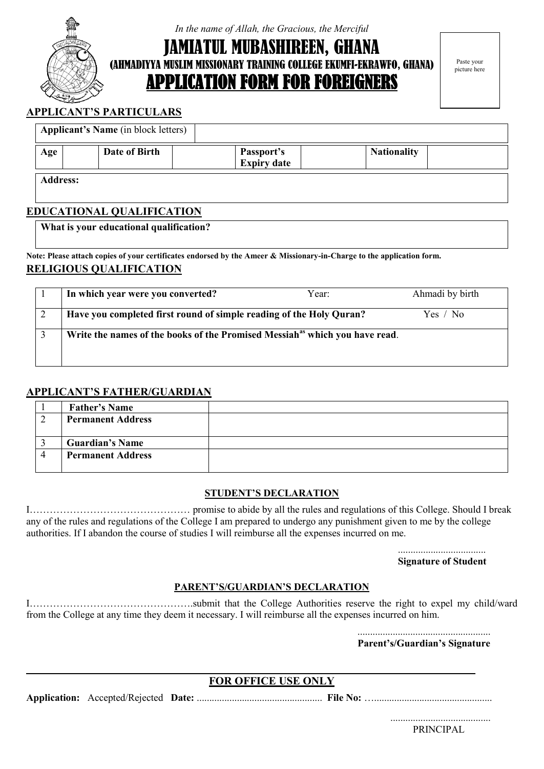

*In the name of Allah, the Gracious, the Merciful*

TUL MUBASHIREEN, GHANA (AHMADIYYA MUSLIM MISSIONARY TRAINING COLLEGE EKUMFI-EKRAWFO, GHANA) APPLICATION FORM FOR FOREIGNERS

Paste your picture here

#### **APPLICANT'S PARTICULARS**

|     | <b>Applicant's Name</b> (in block letters) |  |                                  |                    |  |
|-----|--------------------------------------------|--|----------------------------------|--------------------|--|
| Age | Date of Birth                              |  | Passport's<br><b>Expiry date</b> | <b>Nationality</b> |  |
|     | <b>Address:</b>                            |  |                                  |                    |  |

#### **EDUCATIONAL QUALIFICATION**

**What is your educational qualification?**

**Note: Please attach copies of your certificates endorsed by the Ameer & Missionary-in-Charge to the application form. RELIGIOUS QUALIFICATION**

| In which year were you converted?                                                       | Year: | Ahmadi by birth |
|-----------------------------------------------------------------------------------------|-------|-----------------|
| Have you completed first round of simple reading of the Holy Quran?                     |       | Yes / No        |
| Write the names of the books of the Promised Messiah <sup>as</sup> which you have read. |       |                 |
|                                                                                         |       |                 |

#### **APPLICANT'S FATHER/GUARDIAN**

| <b>Father's Name</b>     |  |
|--------------------------|--|
| <b>Permanent Address</b> |  |
|                          |  |
| <b>Guardian's Name</b>   |  |
| <b>Permanent Address</b> |  |
|                          |  |

#### **STUDENT'S DECLARATION**

I………………………………………… promise to abide by all the rules and regulations of this College. Should I break any of the rules and regulations of the College I am prepared to undergo any punishment given to me by the college authorities. If I abandon the course of studies I will reimburse all the expenses incurred on me.

> ...................................  **Signature of Student**

#### **PARENT'S/GUARDIAN'S DECLARATION**

I………………………………………….submit that the College Authorities reserve the right to expel my child/ward from the College at any time they deem it necessary. I will reimburse all the expenses incurred on him.

.....................................................

**Parent's/Guardian's Signature**

#### **FOR OFFICE USE ONLY**

**Application:** Accepted/Rejected **Date:** .................................................. **File No:** …...............................................

**\_\_\_\_\_\_\_\_\_\_\_\_\_\_\_\_\_\_\_\_\_\_\_\_\_\_\_\_\_\_\_\_\_\_\_\_\_\_\_\_\_\_\_\_\_\_\_\_\_\_\_\_\_\_\_\_\_\_\_\_\_\_\_\_\_\_\_\_\_\_\_\_\_\_\_\_\_\_\_\_\_\_**

 ........................................ PRINCIPAL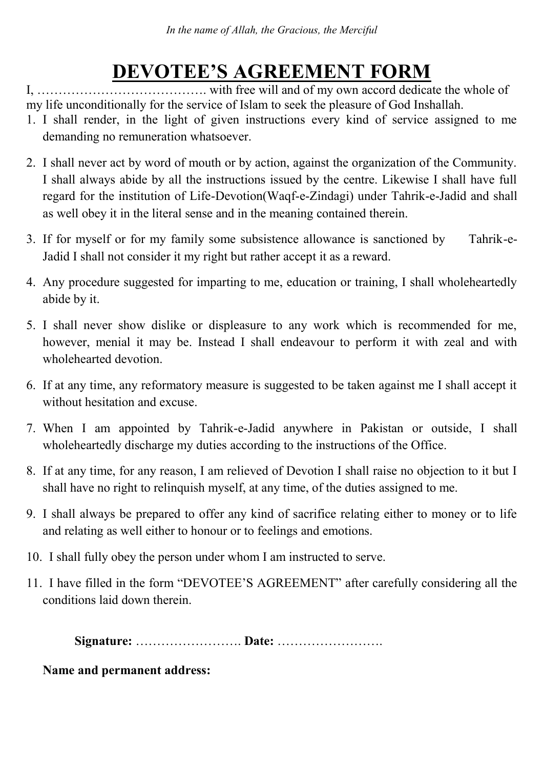# **DEVOTEE'S AGREEMENT FORM**

I, …………………………………. with free will and of my own accord dedicate the whole of my life unconditionally for the service of Islam to seek the pleasure of God Inshallah.

- 1. I shall render, in the light of given instructions every kind of service assigned to me demanding no remuneration whatsoever.
- 2. I shall never act by word of mouth or by action, against the organization of the Community. I shall always abide by all the instructions issued by the centre. Likewise I shall have full regard for the institution of Life-Devotion(Waqf-e-Zindagi) under Tahrik-e-Jadid and shall as well obey it in the literal sense and in the meaning contained therein.
- 3. If for myself or for my family some subsistence allowance is sanctioned by Tahrik-e-Jadid I shall not consider it my right but rather accept it as a reward.
- 4. Any procedure suggested for imparting to me, education or training, I shall wholeheartedly abide by it.
- 5. I shall never show dislike or displeasure to any work which is recommended for me, however, menial it may be. Instead I shall endeavour to perform it with zeal and with wholehearted devotion.
- 6. If at any time, any reformatory measure is suggested to be taken against me I shall accept it without hesitation and excuse.
- 7. When I am appointed by Tahrik-e-Jadid anywhere in Pakistan or outside, I shall wholeheartedly discharge my duties according to the instructions of the Office.
- 8. If at any time, for any reason, I am relieved of Devotion I shall raise no objection to it but I shall have no right to relinquish myself, at any time, of the duties assigned to me.
- 9. I shall always be prepared to offer any kind of sacrifice relating either to money or to life and relating as well either to honour or to feelings and emotions.
- 10. I shall fully obey the person under whom I am instructed to serve.
- 11. I have filled in the form "DEVOTEE'S AGREEMENT" after carefully considering all the conditions laid down therein.

 **Signature:** ……………………. **Date:** …………………….

**Name and permanent address:**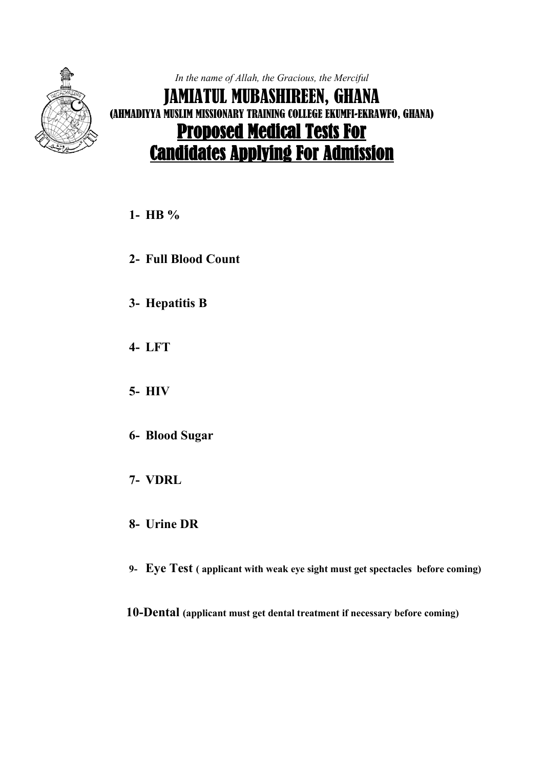

*In the name of Allah, the Gracious, the Merciful* JAMIATUL MUBASHIREEN, GHANA (AHMADIYYA MUSLIM MISSIONARY TRAINING COLLEGE EKUMFI-EKRAWFO, GHANA) Proposed Medical Tests For Candidates Applying For Admission

## **1- HB %**

- **2- Full Blood Count**
- **3- Hepatitis B**
- **4- LFT**
- **5- HIV**
- **6- Blood Sugar**
- **7- VDRL**
- **8- Urine DR**
- **9- Eye Test ( applicant with weak eye sight must get spectacles before coming)**

 **10-Dental (applicant must get dental treatment if necessary before coming)**